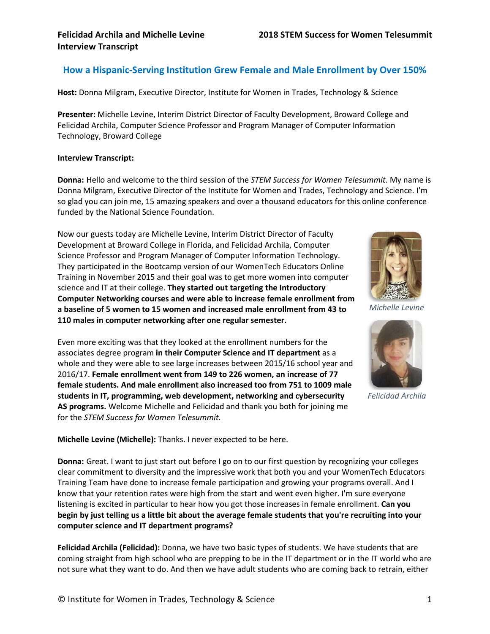### **How a Hispanic-Serving Institution Grew Female and Male Enrollment by Over 150%**

**Host:** Donna Milgram, Executive Director, Institute for Women in Trades, Technology & Science

**Presenter:** Michelle Levine, Interim District Director of Faculty Development, Broward College and Felicidad Archila, Computer Science Professor and Program Manager of Computer Information Technology, Broward College

#### **Interview Transcript:**

**Donna:** Hello and welcome to the third session of the *STEM Success for Women Telesummit*. My name is Donna Milgram, Executive Director of the Institute for Women and Trades, Technology and Science. I'm so glad you can join me, 15 amazing speakers and over a thousand educators for this online conference funded by the National Science Foundation.

Now our guests today are Michelle Levine, Interim District Director of Faculty Development at Broward College in Florida, and Felicidad Archila, Computer Science Professor and Program Manager of Computer Information Technology. They participated in the Bootcamp version of our WomenTech Educators Online Training in November 2015 and their goal was to get more women into computer science and IT at their college. **They started out targeting the Introductory Computer Networking courses and were able to increase female enrollment from a baseline of 5 women to 15 women and increased male enrollment from 43 to 110 males in computer networking after one regular semester.**

Even more exciting was that they looked at the enrollment numbers for the associates degree program **in their Computer Science and IT department** as a whole and they were able to see large increases between 2015/16 school year and 2016/17. **Female enrollment went from 149 to 226 women, an increase of 77 female students. And male enrollment also increased too from 751 to 1009 male students in IT, programming, web development, networking and cybersecurity AS programs.** Welcome Michelle and Felicidad and thank you both for joining me for the *STEM Success for Women Telesummit.*



*Michelle Levine*



*Felicidad Archila*

**Michelle Levine (Michelle):** Thanks. I never expected to be here.

**Donna:** Great. I want to just start out before I go on to our first question by recognizing your colleges clear commitment to diversity and the impressive work that both you and your WomenTech Educators Training Team have done to increase female participation and growing your programs overall. And I know that your retention rates were high from the start and went even higher. I'm sure everyone listening is excited in particular to hear how you got those increases in female enrollment. **Can you begin by just telling us a little bit about the average female students that you're recruiting into your computer science and IT department programs?**

**Felicidad Archila (Felicidad):** Donna, we have two basic types of students. We have students that are coming straight from high school who are prepping to be in the IT department or in the IT world who are not sure what they want to do. And then we have adult students who are coming back to retrain, either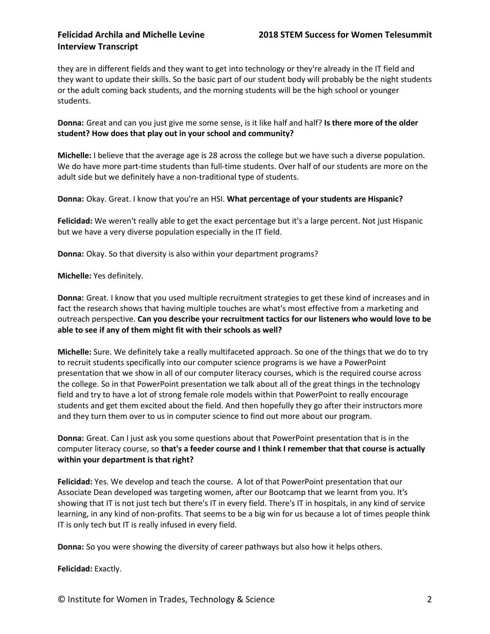they are in different fields and they want to get into technology or they're already in the IT field and they want to update their skills. So the basic part of our student body will probably be the night students or the adult coming back students, and the morning students will be the high school or younger students.

**Donna:** Great and can you just give me some sense, is it like half and half? **Is there more of the older student? How does that play out in your school and community?**

**Michelle:** I believe that the average age is 28 across the college but we have such a diverse population. We do have more part-time students than full-time students. Over half of our students are more on the adult side but we definitely have a non-traditional type of students.

**Donna:** Okay. Great. I know that you're an HSI. **What percentage of your students are Hispanic?**

**Felicidad:** We weren't really able to get the exact percentage but it's a large percent. Not just Hispanic but we have a very diverse population especially in the IT field.

**Donna:** Okay. So that diversity is also within your department programs?

**Michelle:** Yes definitely.

**Donna:** Great. I know that you used multiple recruitment strategies to get these kind of increases and in fact the research shows that having multiple touches are what's most effective from a marketing and outreach perspective. **Can you describe your recruitment tactics for our listeners who would love to be able to see if any of them might fit with their schools as well?**

**Michelle:** Sure. We definitely take a really multifaceted approach. So one of the things that we do to try to recruit students specifically into our computer science programs is we have a PowerPoint presentation that we show in all of our computer literacy courses, which is the required course across the college. So in that PowerPoint presentation we talk about all of the great things in the technology field and try to have a lot of strong female role models within that PowerPoint to really encourage students and get them excited about the field. And then hopefully they go after their instructors more and they turn them over to us in computer science to find out more about our program.

**Donna:** Great. Can I just ask you some questions about that PowerPoint presentation that is in the computer literacy course, so **that's a feeder course and I think I remember that that course is actually within your department is that right?**

**Felicidad:** Yes. We develop and teach the course. A lot of that PowerPoint presentation that our Associate Dean developed was targeting women, after our Bootcamp that we learnt from you. It's showing that IT is not just tech but there's IT in every field. There's IT in hospitals, in any kind of service learning, in any kind of non-profits. That seems to be a big win for us because a lot of times people think IT is only tech but IT is really infused in every field.

**Donna:** So you were showing the diversity of career pathways but also how it helps others.

**Felicidad:** Exactly.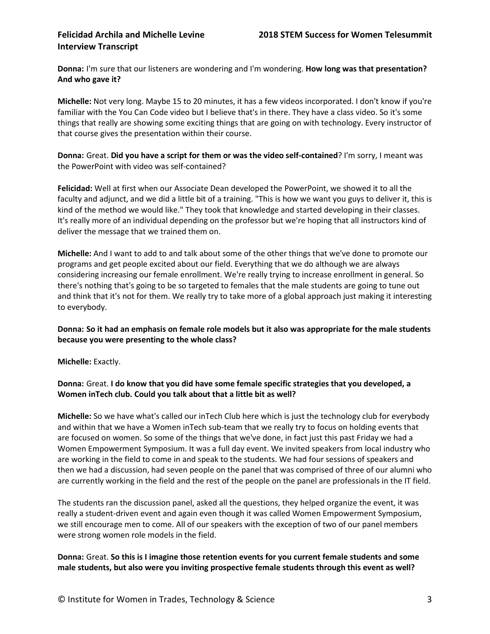**Donna:** I'm sure that our listeners are wondering and I'm wondering. **How long was that presentation? And who gave it?**

**Michelle:** Not very long. Maybe 15 to 20 minutes, it has a few videos incorporated. I don't know if you're familiar with the You Can Code video but I believe that's in there. They have a class video. So it's some things that really are showing some exciting things that are going on with technology. Every instructor of that course gives the presentation within their course.

**Donna:** Great. **Did you have a script for them or was the video self-contained**? I'm sorry, I meant was the PowerPoint with video was self-contained?

**Felicidad:** Well at first when our Associate Dean developed the PowerPoint, we showed it to all the faculty and adjunct, and we did a little bit of a training. "This is how we want you guys to deliver it, this is kind of the method we would like." They took that knowledge and started developing in their classes. It's really more of an individual depending on the professor but we're hoping that all instructors kind of deliver the message that we trained them on.

**Michelle:** And I want to add to and talk about some of the other things that we've done to promote our programs and get people excited about our field. Everything that we do although we are always considering increasing our female enrollment. We're really trying to increase enrollment in general. So there's nothing that's going to be so targeted to females that the male students are going to tune out and think that it's not for them. We really try to take more of a global approach just making it interesting to everybody.

### **Donna: So it had an emphasis on female role models but it also was appropriate for the male students because you were presenting to the whole class?**

**Michelle:** Exactly.

### **Donna:** Great. **I do know that you did have some female specific strategies that you developed, a Women inTech club. Could you talk about that a little bit as well?**

**Michelle:** So we have what's called our inTech Club here which is just the technology club for everybody and within that we have a Women inTech sub-team that we really try to focus on holding events that are focused on women. So some of the things that we've done, in fact just this past Friday we had a Women Empowerment Symposium. It was a full day event. We invited speakers from local industry who are working in the field to come in and speak to the students. We had four sessions of speakers and then we had a discussion, had seven people on the panel that was comprised of three of our alumni who are currently working in the field and the rest of the people on the panel are professionals in the IT field.

The students ran the discussion panel, asked all the questions, they helped organize the event, it was really a student-driven event and again even though it was called Women Empowerment Symposium, we still encourage men to come. All of our speakers with the exception of two of our panel members were strong women role models in the field.

#### **Donna:** Great. **So this is I imagine those retention events for you current female students and some male students, but also were you inviting prospective female students through this event as well?**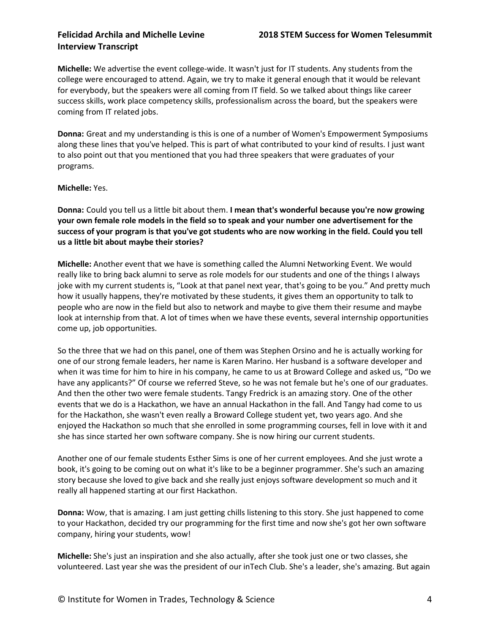**Michelle:** We advertise the event college-wide. It wasn't just for IT students. Any students from the college were encouraged to attend. Again, we try to make it general enough that it would be relevant for everybody, but the speakers were all coming from IT field. So we talked about things like career success skills, work place competency skills, professionalism across the board, but the speakers were coming from IT related jobs.

**Donna:** Great and my understanding is this is one of a number of Women's Empowerment Symposiums along these lines that you've helped. This is part of what contributed to your kind of results. I just want to also point out that you mentioned that you had three speakers that were graduates of your programs.

**Michelle:** Yes.

**Donna:** Could you tell us a little bit about them. **I mean that's wonderful because you're now growing your own female role models in the field so to speak and your number one advertisement for the success of your program is that you've got students who are now working in the field. Could you tell us a little bit about maybe their stories?**

**Michelle:** Another event that we have is something called the Alumni Networking Event. We would really like to bring back alumni to serve as role models for our students and one of the things I always joke with my current students is, "Look at that panel next year, that's going to be you." And pretty much how it usually happens, they're motivated by these students, it gives them an opportunity to talk to people who are now in the field but also to network and maybe to give them their resume and maybe look at internship from that. A lot of times when we have these events, several internship opportunities come up, job opportunities.

So the three that we had on this panel, one of them was Stephen Orsino and he is actually working for one of our strong female leaders, her name is Karen Marino. Her husband is a software developer and when it was time for him to hire in his company, he came to us at Broward College and asked us, "Do we have any applicants?" Of course we referred Steve, so he was not female but he's one of our graduates. And then the other two were female students. Tangy Fredrick is an amazing story. One of the other events that we do is a Hackathon, we have an annual Hackathon in the fall. And Tangy had come to us for the Hackathon, she wasn't even really a Broward College student yet, two years ago. And she enjoyed the Hackathon so much that she enrolled in some programming courses, fell in love with it and she has since started her own software company. She is now hiring our current students.

Another one of our female students Esther Sims is one of her current employees. And she just wrote a book, it's going to be coming out on what it's like to be a beginner programmer. She's such an amazing story because she loved to give back and she really just enjoys software development so much and it really all happened starting at our first Hackathon.

**Donna:** Wow, that is amazing. I am just getting chills listening to this story. She just happened to come to your Hackathon, decided try our programming for the first time and now she's got her own software company, hiring your students, wow!

**Michelle:** She's just an inspiration and she also actually, after she took just one or two classes, she volunteered. Last year she was the president of our inTech Club. She's a leader, she's amazing. But again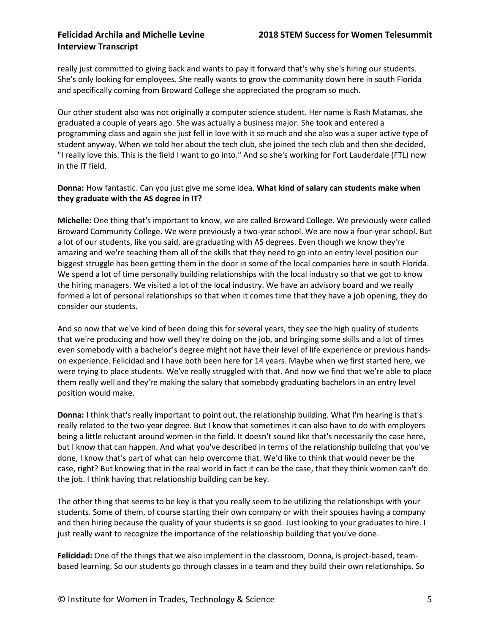really just committed to giving back and wants to pay it forward that's why she's hiring our students. She's only looking for employees. She really wants to grow the community down here in south Florida and specifically coming from Broward College she appreciated the program so much.

Our other student also was not originally a computer science student. Her name is Rash Matamas, she graduated a couple of years ago. She was actually a business major. She took and entered a programming class and again she just fell in love with it so much and she also was a super active type of student anyway. When we told her about the tech club, she joined the tech club and then she decided, "I really love this. This is the field I want to go into." And so she's working for Fort Lauderdale (FTL) now in the IT field.

### **Donna:** How fantastic. Can you just give me some idea. **What kind of salary can students make when they graduate with the AS degree in IT?**

**Michelle:** One thing that's important to know, we are called Broward College. We previously were called Broward Community College. We were previously a two-year school. We are now a four-year school. But a lot of our students, like you said, are graduating with AS degrees. Even though we know they're amazing and we're teaching them all of the skills that they need to go into an entry level position our biggest struggle has been getting them in the door in some of the local companies here in south Florida. We spend a lot of time personally building relationships with the local industry so that we got to know the hiring managers. We visited a lot of the local industry. We have an advisory board and we really formed a lot of personal relationships so that when it comes time that they have a job opening, they do consider our students.

And so now that we've kind of been doing this for several years, they see the high quality of students that we're producing and how well they're doing on the job, and bringing some skills and a lot of times even somebody with a bachelor's degree might not have their level of life experience or previous handson experience. Felicidad and I have both been here for 14 years. Maybe when we first started here, we were trying to place students. We've really struggled with that. And now we find that we're able to place them really well and they're making the salary that somebody graduating bachelors in an entry level position would make.

**Donna:** I think that's really important to point out, the relationship building. What I'm hearing is that's really related to the two-year degree. But I know that sometimes it can also have to do with employers being a little reluctant around women in the field. It doesn't sound like that's necessarily the case here, but I know that can happen. And what you've described in terms of the relationship building that you've done, I know that's part of what can help overcome that. We'd like to think that would never be the case, right? But knowing that in the real world in fact it can be the case, that they think women can't do the job. I think having that relationship building can be key.

The other thing that seems to be key is that you really seem to be utilizing the relationships with your students. Some of them, of course starting their own company or with their spouses having a company and then hiring because the quality of your students is so good. Just looking to your graduates to hire. I just really want to recognize the importance of the relationship building that you've done.

**Felicidad:** One of the things that we also implement in the classroom, Donna, is project-based, teambased learning. So our students go through classes in a team and they build their own relationships. So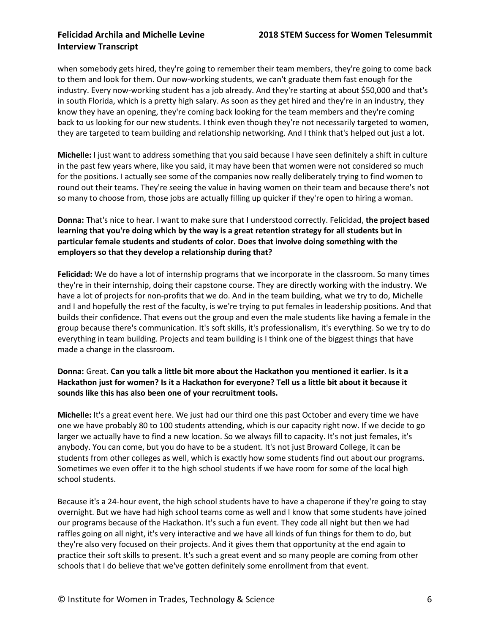when somebody gets hired, they're going to remember their team members, they're going to come back to them and look for them. Our now-working students, we can't graduate them fast enough for the industry. Every now-working student has a job already. And they're starting at about \$50,000 and that's in south Florida, which is a pretty high salary. As soon as they get hired and they're in an industry, they know they have an opening, they're coming back looking for the team members and they're coming back to us looking for our new students. I think even though they're not necessarily targeted to women, they are targeted to team building and relationship networking. And I think that's helped out just a lot.

**Michelle:** I just want to address something that you said because I have seen definitely a shift in culture in the past few years where, like you said, it may have been that women were not considered so much for the positions. I actually see some of the companies now really deliberately trying to find women to round out their teams. They're seeing the value in having women on their team and because there's not so many to choose from, those jobs are actually filling up quicker if they're open to hiring a woman.

**Donna:** That's nice to hear. I want to make sure that I understood correctly. Felicidad, **the project based learning that you're doing which by the way is a great retention strategy for all students but in particular female students and students of color. Does that involve doing something with the employers so that they develop a relationship during that?**

**Felicidad:** We do have a lot of internship programs that we incorporate in the classroom. So many times they're in their internship, doing their capstone course. They are directly working with the industry. We have a lot of projects for non-profits that we do. And in the team building, what we try to do, Michelle and I and hopefully the rest of the faculty, is we're trying to put females in leadership positions. And that builds their confidence. That evens out the group and even the male students like having a female in the group because there's communication. It's soft skills, it's professionalism, it's everything. So we try to do everything in team building. Projects and team building is I think one of the biggest things that have made a change in the classroom.

### **Donna:** Great. **Can you talk a little bit more about the Hackathon you mentioned it earlier. Is it a Hackathon just for women? Is it a Hackathon for everyone? Tell us a little bit about it because it sounds like this has also been one of your recruitment tools.**

**Michelle:** It's a great event here. We just had our third one this past October and every time we have one we have probably 80 to 100 students attending, which is our capacity right now. If we decide to go larger we actually have to find a new location. So we always fill to capacity. It's not just females, it's anybody. You can come, but you do have to be a student. It's not just Broward College, it can be students from other colleges as well, which is exactly how some students find out about our programs. Sometimes we even offer it to the high school students if we have room for some of the local high school students.

Because it's a 24-hour event, the high school students have to have a chaperone if they're going to stay overnight. But we have had high school teams come as well and I know that some students have joined our programs because of the Hackathon. It's such a fun event. They code all night but then we had raffles going on all night, it's very interactive and we have all kinds of fun things for them to do, but they're also very focused on their projects. And it gives them that opportunity at the end again to practice their soft skills to present. It's such a great event and so many people are coming from other schools that I do believe that we've gotten definitely some enrollment from that event.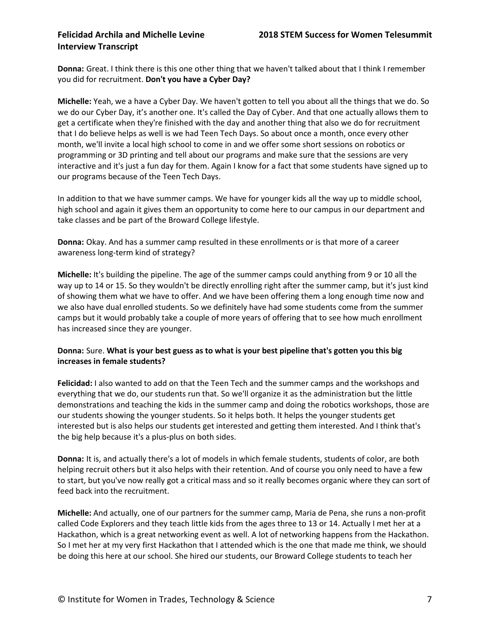**Donna:** Great. I think there is this one other thing that we haven't talked about that I think I remember you did for recruitment. **Don't you have a Cyber Day?**

**Michelle:** Yeah, we a have a Cyber Day. We haven't gotten to tell you about all the things that we do. So we do our Cyber Day, it's another one. It's called the Day of Cyber. And that one actually allows them to get a certificate when they're finished with the day and another thing that also we do for recruitment that I do believe helps as well is we had Teen Tech Days. So about once a month, once every other month, we'll invite a local high school to come in and we offer some short sessions on robotics or programming or 3D printing and tell about our programs and make sure that the sessions are very interactive and it's just a fun day for them. Again I know for a fact that some students have signed up to our programs because of the Teen Tech Days.

In addition to that we have summer camps. We have for younger kids all the way up to middle school, high school and again it gives them an opportunity to come here to our campus in our department and take classes and be part of the Broward College lifestyle.

**Donna:** Okay. And has a summer camp resulted in these enrollments or is that more of a career awareness long-term kind of strategy?

**Michelle:** It's building the pipeline. The age of the summer camps could anything from 9 or 10 all the way up to 14 or 15. So they wouldn't be directly enrolling right after the summer camp, but it's just kind of showing them what we have to offer. And we have been offering them a long enough time now and we also have dual enrolled students. So we definitely have had some students come from the summer camps but it would probably take a couple of more years of offering that to see how much enrollment has increased since they are younger.

### **Donna:** Sure. **What is your best guess as to what is your best pipeline that's gotten you this big increases in female students?**

**Felicidad:** I also wanted to add on that the Teen Tech and the summer camps and the workshops and everything that we do, our students run that. So we'll organize it as the administration but the little demonstrations and teaching the kids in the summer camp and doing the robotics workshops, those are our students showing the younger students. So it helps both. It helps the younger students get interested but is also helps our students get interested and getting them interested. And I think that's the big help because it's a plus-plus on both sides.

**Donna:** It is, and actually there's a lot of models in which female students, students of color, are both helping recruit others but it also helps with their retention. And of course you only need to have a few to start, but you've now really got a critical mass and so it really becomes organic where they can sort of feed back into the recruitment.

**Michelle:** And actually, one of our partners for the summer camp, Maria de Pena, she runs a non-profit called Code Explorers and they teach little kids from the ages three to 13 or 14. Actually I met her at a Hackathon, which is a great networking event as well. A lot of networking happens from the Hackathon. So I met her at my very first Hackathon that I attended which is the one that made me think, we should be doing this here at our school. She hired our students, our Broward College students to teach her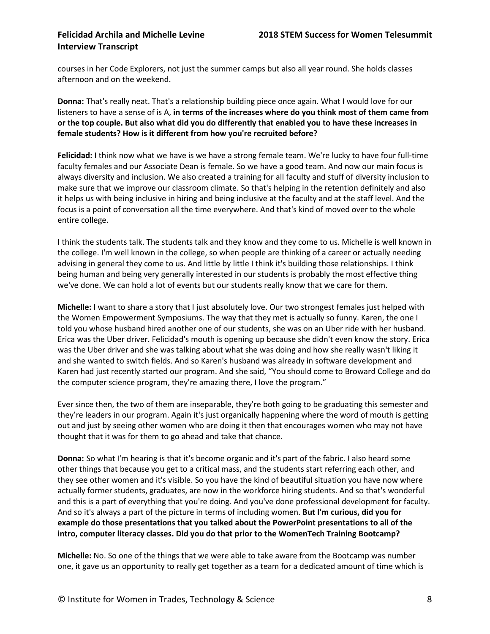courses in her Code Explorers, not just the summer camps but also all year round. She holds classes afternoon and on the weekend.

**Donna:** That's really neat. That's a relationship building piece once again. What I would love for our listeners to have a sense of is A, **in terms of the increases where do you think most of them came from or the top couple. But also what did you do differently that enabled you to have these increases in female students? How is it different from how you're recruited before?**

**Felicidad:** I think now what we have is we have a strong female team. We're lucky to have four full-time faculty females and our Associate Dean is female. So we have a good team. And now our main focus is always diversity and inclusion. We also created a training for all faculty and stuff of diversity inclusion to make sure that we improve our classroom climate. So that's helping in the retention definitely and also it helps us with being inclusive in hiring and being inclusive at the faculty and at the staff level. And the focus is a point of conversation all the time everywhere. And that's kind of moved over to the whole entire college.

I think the students talk. The students talk and they know and they come to us. Michelle is well known in the college. I'm well known in the college, so when people are thinking of a career or actually needing advising in general they come to us. And little by little I think it's building those relationships. I think being human and being very generally interested in our students is probably the most effective thing we've done. We can hold a lot of events but our students really know that we care for them.

**Michelle:** I want to share a story that I just absolutely love. Our two strongest females just helped with the Women Empowerment Symposiums. The way that they met is actually so funny. Karen, the one I told you whose husband hired another one of our students, she was on an Uber ride with her husband. Erica was the Uber driver. Felicidad's mouth is opening up because she didn't even know the story. Erica was the Uber driver and she was talking about what she was doing and how she really wasn't liking it and she wanted to switch fields. And so Karen's husband was already in software development and Karen had just recently started our program. And she said, "You should come to Broward College and do the computer science program, they're amazing there, I love the program."

Ever since then, the two of them are inseparable, they're both going to be graduating this semester and they're leaders in our program. Again it's just organically happening where the word of mouth is getting out and just by seeing other women who are doing it then that encourages women who may not have thought that it was for them to go ahead and take that chance.

**Donna:** So what I'm hearing is that it's become organic and it's part of the fabric. I also heard some other things that because you get to a critical mass, and the students start referring each other, and they see other women and it's visible. So you have the kind of beautiful situation you have now where actually former students, graduates, are now in the workforce hiring students. And so that's wonderful and this is a part of everything that you're doing. And you've done professional development for faculty. And so it's always a part of the picture in terms of including women. **But I'm curious, did you for example do those presentations that you talked about the PowerPoint presentations to all of the intro, computer literacy classes. Did you do that prior to the WomenTech Training Bootcamp?**

**Michelle:** No. So one of the things that we were able to take aware from the Bootcamp was number one, it gave us an opportunity to really get together as a team for a dedicated amount of time which is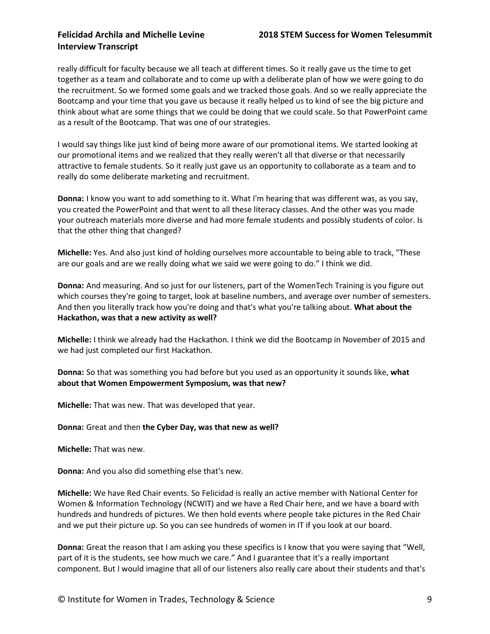really difficult for faculty because we all teach at different times. So it really gave us the time to get together as a team and collaborate and to come up with a deliberate plan of how we were going to do the recruitment. So we formed some goals and we tracked those goals. And so we really appreciate the Bootcamp and your time that you gave us because it really helped us to kind of see the big picture and think about what are some things that we could be doing that we could scale. So that PowerPoint came as a result of the Bootcamp. That was one of our strategies.

I would say things like just kind of being more aware of our promotional items. We started looking at our promotional items and we realized that they really weren't all that diverse or that necessarily attractive to female students. So it really just gave us an opportunity to collaborate as a team and to really do some deliberate marketing and recruitment.

**Donna:** I know you want to add something to it. What I'm hearing that was different was, as you say, you created the PowerPoint and that went to all these literacy classes. And the other was you made your outreach materials more diverse and had more female students and possibly students of color. Is that the other thing that changed?

**Michelle:** Yes. And also just kind of holding ourselves more accountable to being able to track, "These are our goals and are we really doing what we said we were going to do." I think we did.

**Donna:** And measuring. And so just for our listeners, part of the WomenTech Training is you figure out which courses they're going to target, look at baseline numbers, and average over number of semesters. And then you literally track how you're doing and that's what you're talking about. **What about the Hackathon, was that a new activity as well?**

**Michelle:** I think we already had the Hackathon. I think we did the Bootcamp in November of 2015 and we had just completed our first Hackathon.

**Donna:** So that was something you had before but you used as an opportunity it sounds like, **what about that Women Empowerment Symposium, was that new?**

**Michelle:** That was new. That was developed that year.

**Donna:** Great and then **the Cyber Day, was that new as well?**

**Michelle:** That was new.

**Donna:** And you also did something else that's new.

**Michelle:** We have Red Chair events. So Felicidad is really an active member with National Center for Women & Information Technology (NCWIT) and we have a Red Chair here, and we have a board with hundreds and hundreds of pictures. We then hold events where people take pictures in the Red Chair and we put their picture up. So you can see hundreds of women in IT if you look at our board.

**Donna:** Great the reason that I am asking you these specifics is I know that you were saying that "Well, part of it is the students, see how much we care." And I guarantee that it's a really important component. But I would imagine that all of our listeners also really care about their students and that's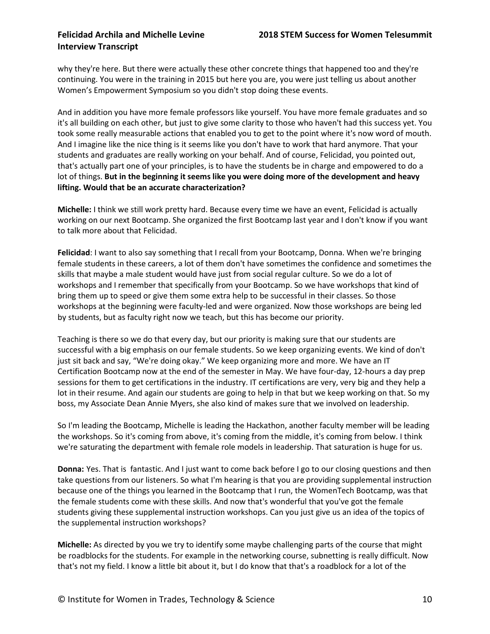why they're here. But there were actually these other concrete things that happened too and they're continuing. You were in the training in 2015 but here you are, you were just telling us about another Women's Empowerment Symposium so you didn't stop doing these events.

And in addition you have more female professors like yourself. You have more female graduates and so it's all building on each other, but just to give some clarity to those who haven't had this success yet. You took some really measurable actions that enabled you to get to the point where it's now word of mouth. And I imagine like the nice thing is it seems like you don't have to work that hard anymore. That your students and graduates are really working on your behalf. And of course, Felicidad, you pointed out, that's actually part one of your principles, is to have the students be in charge and empowered to do a lot of things. **But in the beginning it seems like you were doing more of the development and heavy lifting. Would that be an accurate characterization?**

**Michelle:** I think we still work pretty hard. Because every time we have an event, Felicidad is actually working on our next Bootcamp. She organized the first Bootcamp last year and I don't know if you want to talk more about that Felicidad.

**Felicidad**: I want to also say something that I recall from your Bootcamp, Donna. When we're bringing female students in these careers, a lot of them don't have sometimes the confidence and sometimes the skills that maybe a male student would have just from social regular culture. So we do a lot of workshops and I remember that specifically from your Bootcamp. So we have workshops that kind of bring them up to speed or give them some extra help to be successful in their classes. So those workshops at the beginning were faculty-led and were organized. Now those workshops are being led by students, but as faculty right now we teach, but this has become our priority.

Teaching is there so we do that every day, but our priority is making sure that our students are successful with a big emphasis on our female students. So we keep organizing events. We kind of don't just sit back and say, "We're doing okay." We keep organizing more and more. We have an IT Certification Bootcamp now at the end of the semester in May. We have four-day, 12-hours a day prep sessions for them to get certifications in the industry. IT certifications are very, very big and they help a lot in their resume. And again our students are going to help in that but we keep working on that. So my boss, my Associate Dean Annie Myers, she also kind of makes sure that we involved on leadership.

So I'm leading the Bootcamp, Michelle is leading the Hackathon, another faculty member will be leading the workshops. So it's coming from above, it's coming from the middle, it's coming from below. I think we're saturating the department with female role models in leadership. That saturation is huge for us.

**Donna:** Yes. That is fantastic. And I just want to come back before I go to our closing questions and then take questions from our listeners. So what I'm hearing is that you are providing supplemental instruction because one of the things you learned in the Bootcamp that I run, the WomenTech Bootcamp, was that the female students come with these skills. And now that's wonderful that you've got the female students giving these supplemental instruction workshops. Can you just give us an idea of the topics of the supplemental instruction workshops?

**Michelle:** As directed by you we try to identify some maybe challenging parts of the course that might be roadblocks for the students. For example in the networking course, subnetting is really difficult. Now that's not my field. I know a little bit about it, but I do know that that's a roadblock for a lot of the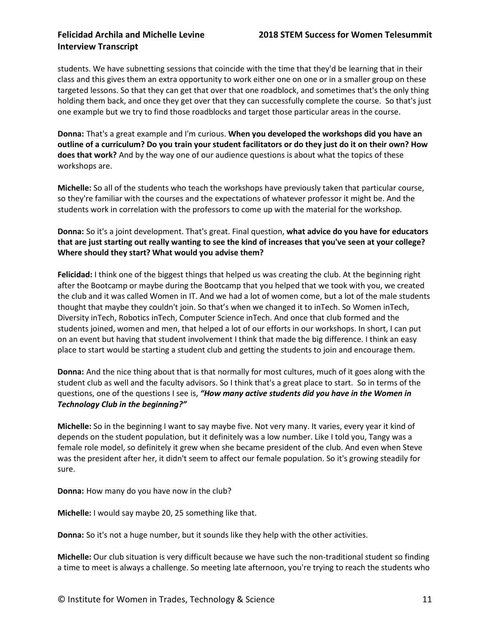students. We have subnetting sessions that coincide with the time that they'd be learning that in their class and this gives them an extra opportunity to work either one on one or in a smaller group on these targeted lessons. So that they can get that over that one roadblock, and sometimes that's the only thing holding them back, and once they get over that they can successfully complete the course. So that's just one example but we try to find those roadblocks and target those particular areas in the course.

**Donna:** That's a great example and I'm curious. **When you developed the workshops did you have an outline of a curriculum? Do you train your student facilitators or do they just do it on their own? How does that work?** And by the way one of our audience questions is about what the topics of these workshops are.

**Michelle:** So all of the students who teach the workshops have previously taken that particular course, so they're familiar with the courses and the expectations of whatever professor it might be. And the students work in correlation with the professors to come up with the material for the workshop.

**Donna:** So it's a joint development. That's great. Final question, **what advice do you have for educators that are just starting out really wanting to see the kind of increases that you've seen at your college? Where should they start? What would you advise them?**

**Felicidad:** I think one of the biggest things that helped us was creating the club. At the beginning right after the Bootcamp or maybe during the Bootcamp that you helped that we took with you, we created the club and it was called Women in IT. And we had a lot of women come, but a lot of the male students thought that maybe they couldn't join. So that's when we changed it to inTech. So Women inTech, Diversity inTech, Robotics inTech, Computer Science inTech. And once that club formed and the students joined, women and men, that helped a lot of our efforts in our workshops. In short, I can put on an event but having that student involvement I think that made the big difference. I think an easy place to start would be starting a student club and getting the students to join and encourage them.

**Donna:** And the nice thing about that is that normally for most cultures, much of it goes along with the student club as well and the faculty advisors. So I think that's a great place to start. So in terms of the questions, one of the questions I see is, *"How many active students did you have in the Women in Technology Club in the beginning?"*

**Michelle:** So in the beginning I want to say maybe five. Not very many. It varies, every year it kind of depends on the student population, but it definitely was a low number. Like I told you, Tangy was a female role model, so definitely it grew when she became president of the club. And even when Steve was the president after her, it didn't seem to affect our female population. So it's growing steadily for sure.

**Donna:** How many do you have now in the club?

**Michelle:** I would say maybe 20, 25 something like that.

**Donna:** So it's not a huge number, but it sounds like they help with the other activities.

**Michelle:** Our club situation is very difficult because we have such the non-traditional student so finding a time to meet is always a challenge. So meeting late afternoon, you're trying to reach the students who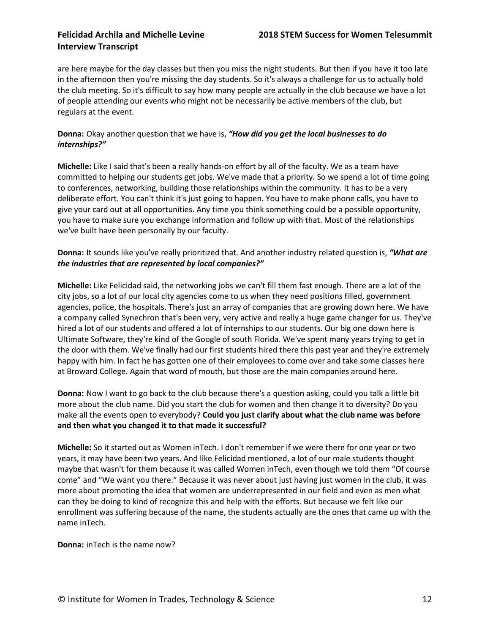are here maybe for the day classes but then you miss the night students. But then if you have it too late in the afternoon then you're missing the day students. So it's always a challenge for us to actually hold the club meeting. So it's difficult to say how many people are actually in the club because we have a lot of people attending our events who might not be necessarily be active members of the club, but regulars at the event.

### **Donna:** Okay another question that we have is, *"How did you get the local businesses to do internships?"*

**Michelle:** Like I said that's been a really hands-on effort by all of the faculty. We as a team have committed to helping our students get jobs. We've made that a priority. So we spend a lot of time going to conferences, networking, building those relationships within the community. It has to be a very deliberate effort. You can't think it's just going to happen. You have to make phone calls, you have to give your card out at all opportunities. Any time you think something could be a possible opportunity, you have to make sure you exchange information and follow up with that. Most of the relationships we've built have been personally by our faculty.

### **Donna:** It sounds like you've really prioritized that. And another industry related question is, *"What are the industries that are represented by local companies?"*

**Michelle:** Like Felicidad said, the networking jobs we can't fill them fast enough. There are a lot of the city jobs, so a lot of our local city agencies come to us when they need positions filled, government agencies, police, the hospitals. There's just an array of companies that are growing down here. We have a company called Synechron that's been very, very active and really a huge game changer for us. They've hired a lot of our students and offered a lot of internships to our students. Our big one down here is Ultimate Software, they're kind of the Google of south Florida. We've spent many years trying to get in the door with them. We've finally had our first students hired there this past year and they're extremely happy with him. In fact he has gotten one of their employees to come over and take some classes here at Broward College. Again that word of mouth, but those are the main companies around here.

**Donna:** Now I want to go back to the club because there's a question asking, could you talk a little bit more about the club name. Did you start the club for women and then change it to diversity? Do you make all the events open to everybody? **Could you just clarify about what the club name was before and then what you changed it to that made it successful?**

**Michelle:** So it started out as Women inTech. I don't remember if we were there for one year or two years, it may have been two years. And like Felicidad mentioned, a lot of our male students thought maybe that wasn't for them because it was called Women inTech, even though we told them "Of course come" and "We want you there." Because it was never about just having just women in the club, it was more about promoting the idea that women are underrepresented in our field and even as men what can they be doing to kind of recognize this and help with the efforts. But because we felt like our enrollment was suffering because of the name, the students actually are the ones that came up with the name inTech.

**Donna:** inTech is the name now?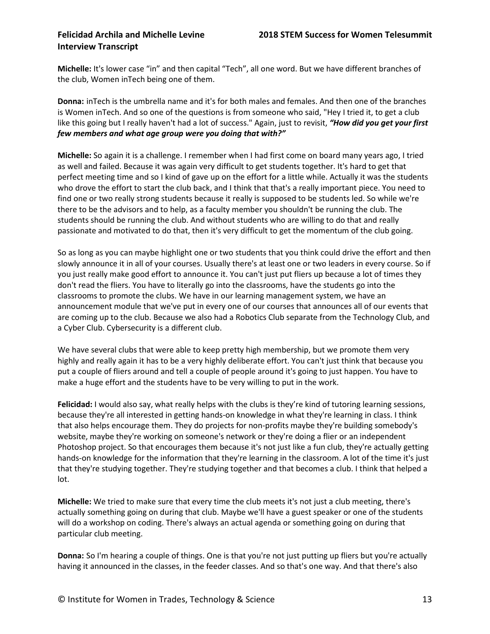**Michelle:** It's lower case "in" and then capital "Tech", all one word. But we have different branches of the club, Women inTech being one of them.

**Donna:** inTech is the umbrella name and it's for both males and females. And then one of the branches is Women inTech. And so one of the questions is from someone who said, "Hey I tried it, to get a club like this going but I really haven't had a lot of success." Again, just to revisit, *"How did you get your first few members and what age group were you doing that with?"*

**Michelle:** So again it is a challenge. I remember when I had first come on board many years ago, I tried as well and failed. Because it was again very difficult to get students together. It's hard to get that perfect meeting time and so I kind of gave up on the effort for a little while. Actually it was the students who drove the effort to start the club back, and I think that that's a really important piece. You need to find one or two really strong students because it really is supposed to be students led. So while we're there to be the advisors and to help, as a faculty member you shouldn't be running the club. The students should be running the club. And without students who are willing to do that and really passionate and motivated to do that, then it's very difficult to get the momentum of the club going.

So as long as you can maybe highlight one or two students that you think could drive the effort and then slowly announce it in all of your courses. Usually there's at least one or two leaders in every course. So if you just really make good effort to announce it. You can't just put fliers up because a lot of times they don't read the fliers. You have to literally go into the classrooms, have the students go into the classrooms to promote the clubs. We have in our learning management system, we have an announcement module that we've put in every one of our courses that announces all of our events that are coming up to the club. Because we also had a Robotics Club separate from the Technology Club, and a Cyber Club. Cybersecurity is a different club.

We have several clubs that were able to keep pretty high membership, but we promote them very highly and really again it has to be a very highly deliberate effort. You can't just think that because you put a couple of fliers around and tell a couple of people around it's going to just happen. You have to make a huge effort and the students have to be very willing to put in the work.

**Felicidad:** I would also say, what really helps with the clubs is they're kind of tutoring learning sessions, because they're all interested in getting hands-on knowledge in what they're learning in class. I think that also helps encourage them. They do projects for non-profits maybe they're building somebody's website, maybe they're working on someone's network or they're doing a flier or an independent Photoshop project. So that encourages them because it's not just like a fun club, they're actually getting hands-on knowledge for the information that they're learning in the classroom. A lot of the time it's just that they're studying together. They're studying together and that becomes a club. I think that helped a lot.

**Michelle:** We tried to make sure that every time the club meets it's not just a club meeting, there's actually something going on during that club. Maybe we'll have a guest speaker or one of the students will do a workshop on coding. There's always an actual agenda or something going on during that particular club meeting.

**Donna:** So I'm hearing a couple of things. One is that you're not just putting up fliers but you're actually having it announced in the classes, in the feeder classes. And so that's one way. And that there's also